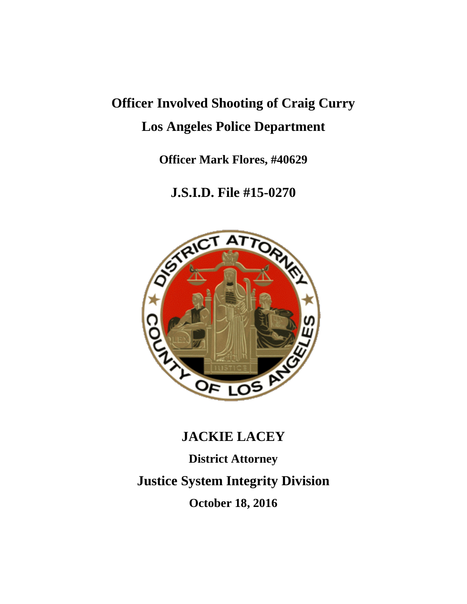## **Officer Involved Shooting of Craig Curry Los Angeles Police Department**

**Officer Mark Flores, #40629**

**J.S.I.D. File #15-0270**



# **JACKIE LACEY District Attorney Justice System Integrity Division October 18, 2016**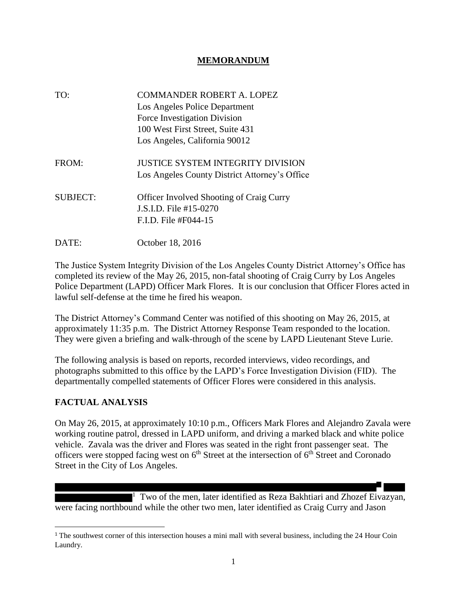#### **MEMORANDUM**

| TO:             | <b>COMMANDER ROBERT A. LOPEZ</b><br>Los Angeles Police Department<br>Force Investigation Division<br>100 West First Street, Suite 431<br>Los Angeles, California 90012 |
|-----------------|------------------------------------------------------------------------------------------------------------------------------------------------------------------------|
| FROM:           | <b>JUSTICE SYSTEM INTEGRITY DIVISION</b><br>Los Angeles County District Attorney's Office                                                                              |
| <b>SUBJECT:</b> | <b>Officer Involved Shooting of Craig Curry</b><br>J.S.I.D. File #15-0270<br>F.I.D. File #F044-15                                                                      |
| DATE:           | October 18, 2016                                                                                                                                                       |

The Justice System Integrity Division of the Los Angeles County District Attorney's Office has completed its review of the May 26, 2015, non-fatal shooting of Craig Curry by Los Angeles Police Department (LAPD) Officer Mark Flores. It is our conclusion that Officer Flores acted in lawful self-defense at the time he fired his weapon.

The District Attorney's Command Center was notified of this shooting on May 26, 2015, at approximately 11:35 p.m. The District Attorney Response Team responded to the location. They were given a briefing and walk-through of the scene by LAPD Lieutenant Steve Lurie.

The following analysis is based on reports, recorded interviews, video recordings, and photographs submitted to this office by the LAPD's Force Investigation Division (FID). The departmentally compelled statements of Officer Flores were considered in this analysis.

#### **FACTUAL ANALYSIS**

l

On May 26, 2015, at approximately 10:10 p.m., Officers Mark Flores and Alejandro Zavala were working routine patrol, dressed in LAPD uniform, and driving a marked black and white police vehicle. Zavala was the driver and Flores was seated in the right front passenger seat. The officers were stopped facing west on  $6<sup>th</sup>$  Street at the intersection of  $6<sup>th</sup>$  Street and Coronado Street in the City of Los Angeles.

<sup>1</sup> Two of the men, later identified as Reza Bakhtiari and Zhozef Eivazyan, were facing northbound while the other two men, later identified as Craig Curry and Jason

<sup>&</sup>lt;sup>1</sup> The southwest corner of this intersection houses a mini mall with several business, including the 24 Hour Coin Laundry.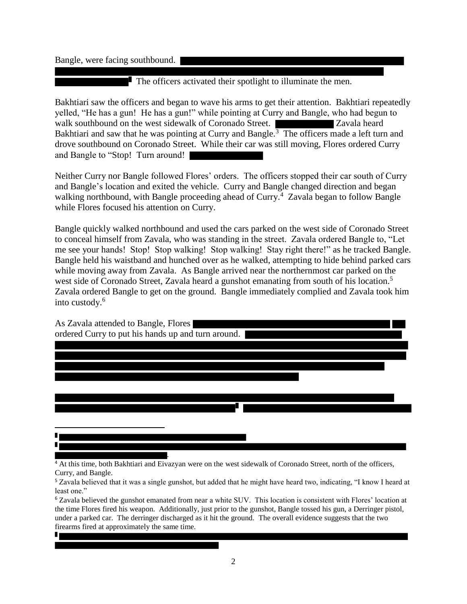Bangle, were facing southbound.

Ц

The officers activated their spotlight to illuminate the men.

Bakhtiari saw the officers and began to wave his arms to get their attention. Bakhtiari repeatedly yelled, "He has a gun! He has a gun!" while pointing at Curry and Bangle, who had begun to walk southbound on the west sidewalk of Coronado Street. Zavala heard Bakhtiari and saw that he was pointing at Curry and Bangle.<sup>3</sup> The officers made a left turn and drove southbound on Coronado Street. While their car was still moving, Flores ordered Curry and Bangle to "Stop! Turn around!

Neither Curry nor Bangle followed Flores' orders. The officers stopped their car south of Curry and Bangle's location and exited the vehicle. Curry and Bangle changed direction and began walking northbound, with Bangle proceeding ahead of Curry.<sup>4</sup> Zavala began to follow Bangle while Flores focused his attention on Curry.

Bangle quickly walked northbound and used the cars parked on the west side of Coronado Street to conceal himself from Zavala, who was standing in the street. Zavala ordered Bangle to, "Let me see your hands! Stop! Stop walking! Stop walking! Stay right there!" as he tracked Bangle. Bangle held his waistband and hunched over as he walked, attempting to hide behind parked cars while moving away from Zavala. As Bangle arrived near the northernmost car parked on the west side of Coronado Street, Zavala heard a gunshot emanating from south of his location.<sup>5</sup> Zavala ordered Bangle to get on the ground. Bangle immediately complied and Zavala took him into custody. 6



<sup>4</sup> At this time, both Bakhtiari and Eivazyan were on the west sidewalk of Coronado Street, north of the officers, Curry, and Bangle.

<sup>5</sup> Zavala believed that it was a single gunshot, but added that he might have heard two, indicating, "I know I heard at least one."

<sup>6</sup> Zavala believed the gunshot emanated from near a white SUV. This location is consistent with Flores' location at the time Flores fired his weapon. Additionally, just prior to the gunshot, Bangle tossed his gun, a Derringer pistol, under a parked car. The derringer discharged as it hit the ground. The overall evidence suggests that the two firearms fired at approximately the same time.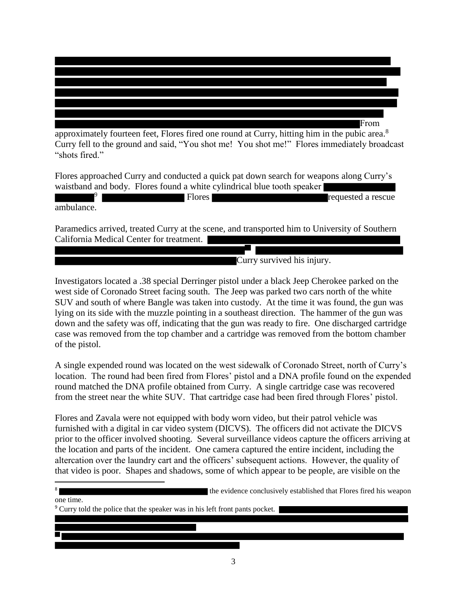

Flores approached Curry and conducted a quick pat down search for weapons along Curry's waistband and body. Flores found a white cylindrical blue tooth speaker

|            | Flores | requested a rescue |
|------------|--------|--------------------|
| ambulance. |        |                    |

Paramedics arrived, treated Curry at the scene, and transported him to University of Southern California Medical Center for treatment.

Curry survived his injury.

Investigators located a .38 special Derringer pistol under a black Jeep Cherokee parked on the west side of Coronado Street facing south. The Jeep was parked two cars north of the white SUV and south of where Bangle was taken into custody. At the time it was found, the gun was lying on its side with the muzzle pointing in a southeast direction. The hammer of the gun was down and the safety was off, indicating that the gun was ready to fire. One discharged cartridge case was removed from the top chamber and a cartridge was removed from the bottom chamber of the pistol.

A single expended round was located on the west sidewalk of Coronado Street, north of Curry's location. The round had been fired from Flores' pistol and a DNA profile found on the expended round matched the DNA profile obtained from Curry. A single cartridge case was recovered from the street near the white SUV. That cartridge case had been fired through Flores' pistol.

Flores and Zavala were not equipped with body worn video, but their patrol vehicle was furnished with a digital in car video system (DICVS). The officers did not activate the DICVS prior to the officer involved shooting. Several surveillance videos capture the officers arriving at the location and parts of the incident. One camera captured the entire incident, including the altercation over the laundry cart and the officers' subsequent actions. However, the quality of that video is poor. Shapes and shadows, some of which appear to be people, are visible on the

8 the evidence conclusively established that Flores fired his weapon one time.

<sup>9</sup> Curry told the police that the speaker was in his left front pants pocket.

 $\overline{a}$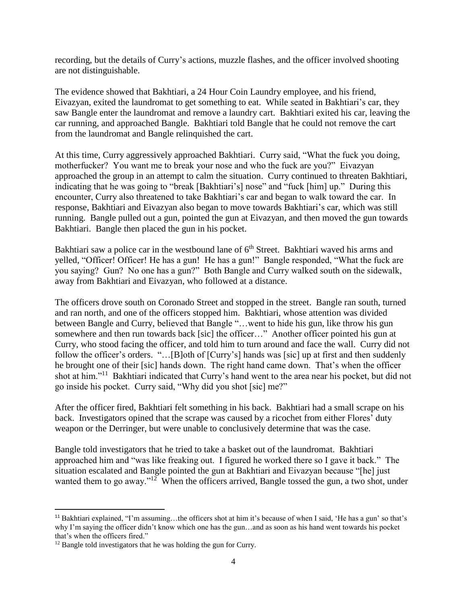recording, but the details of Curry's actions, muzzle flashes, and the officer involved shooting are not distinguishable.

The evidence showed that Bakhtiari, a 24 Hour Coin Laundry employee, and his friend, Eivazyan, exited the laundromat to get something to eat. While seated in Bakhtiari's car, they saw Bangle enter the laundromat and remove a laundry cart. Bakhtiari exited his car, leaving the car running, and approached Bangle. Bakhtiari told Bangle that he could not remove the cart from the laundromat and Bangle relinquished the cart.

At this time, Curry aggressively approached Bakhtiari. Curry said, "What the fuck you doing, motherfucker? You want me to break your nose and who the fuck are you?" Eivazyan approached the group in an attempt to calm the situation. Curry continued to threaten Bakhtiari, indicating that he was going to "break [Bakhtiari's] nose" and "fuck [him] up." During this encounter, Curry also threatened to take Bakhtiari's car and began to walk toward the car. In response, Bakhtiari and Eivazyan also began to move towards Bakhtiari's car, which was still running. Bangle pulled out a gun, pointed the gun at Eivazyan, and then moved the gun towards Bakhtiari. Bangle then placed the gun in his pocket.

Bakhtiari saw a police car in the westbound lane of  $6<sup>th</sup>$  Street. Bakhtiari waved his arms and yelled, "Officer! Officer! He has a gun! He has a gun!" Bangle responded, "What the fuck are you saying? Gun? No one has a gun?" Both Bangle and Curry walked south on the sidewalk, away from Bakhtiari and Eivazyan, who followed at a distance.

The officers drove south on Coronado Street and stopped in the street. Bangle ran south, turned and ran north, and one of the officers stopped him. Bakhtiari, whose attention was divided between Bangle and Curry, believed that Bangle "…went to hide his gun, like throw his gun somewhere and then run towards back [sic] the officer..." Another officer pointed his gun at Curry, who stood facing the officer, and told him to turn around and face the wall. Curry did not follow the officer's orders. "...[B]oth of [Curry's] hands was [sic] up at first and then suddenly he brought one of their [sic] hands down. The right hand came down. That's when the officer shot at him."<sup>11</sup> Bakhtiari indicated that Curry's hand went to the area near his pocket, but did not go inside his pocket. Curry said, "Why did you shot [sic] me?"

After the officer fired, Bakhtiari felt something in his back. Bakhtiari had a small scrape on his back. Investigators opined that the scrape was caused by a ricochet from either Flores' duty weapon or the Derringer, but were unable to conclusively determine that was the case.

Bangle told investigators that he tried to take a basket out of the laundromat. Bakhtiari approached him and "was like freaking out. I figured he worked there so I gave it back." The situation escalated and Bangle pointed the gun at Bakhtiari and Eivazyan because "[he] just wanted them to go away."<sup>12</sup> When the officers arrived, Bangle tossed the gun, a two shot, under

 $\overline{\phantom{a}}$ 

<sup>11</sup> Bakhtiari explained, "I'm assuming…the officers shot at him it's because of when I said, 'He has a gun' so that's why I'm saying the officer didn't know which one has the gun…and as soon as his hand went towards his pocket that's when the officers fired."

<sup>&</sup>lt;sup>12</sup> Bangle told investigators that he was holding the gun for Curry.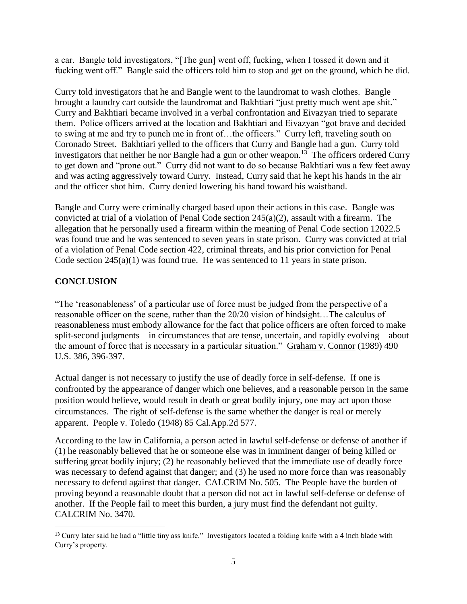a car. Bangle told investigators, "[The gun] went off, fucking, when I tossed it down and it fucking went off." Bangle said the officers told him to stop and get on the ground, which he did.

Curry told investigators that he and Bangle went to the laundromat to wash clothes. Bangle brought a laundry cart outside the laundromat and Bakhtiari "just pretty much went ape shit." Curry and Bakhtiari became involved in a verbal confrontation and Eivazyan tried to separate them. Police officers arrived at the location and Bakhtiari and Eivazyan "got brave and decided to swing at me and try to punch me in front of…the officers." Curry left, traveling south on Coronado Street. Bakhtiari yelled to the officers that Curry and Bangle had a gun. Curry told investigators that neither he nor Bangle had a gun or other weapon.<sup>13</sup> The officers ordered Curry to get down and "prone out." Curry did not want to do so because Bakhtiari was a few feet away and was acting aggressively toward Curry. Instead, Curry said that he kept his hands in the air and the officer shot him. Curry denied lowering his hand toward his waistband.

Bangle and Curry were criminally charged based upon their actions in this case. Bangle was convicted at trial of a violation of Penal Code section 245(a)(2), assault with a firearm. The allegation that he personally used a firearm within the meaning of Penal Code section 12022.5 was found true and he was sentenced to seven years in state prison. Curry was convicted at trial of a violation of Penal Code section 422, criminal threats, and his prior conviction for Penal Code section  $245(a)(1)$  was found true. He was sentenced to 11 years in state prison.

### **CONCLUSION**

"The 'reasonableness' of a particular use of force must be judged from the perspective of a reasonable officer on the scene, rather than the 20/20 vision of hindsight…The calculus of reasonableness must embody allowance for the fact that police officers are often forced to make split-second judgments—in circumstances that are tense, uncertain, and rapidly evolving—about the amount of force that is necessary in a particular situation." Graham v. Connor (1989) 490 U.S. 386, 396-397.

Actual danger is not necessary to justify the use of deadly force in self-defense. If one is confronted by the appearance of danger which one believes, and a reasonable person in the same position would believe, would result in death or great bodily injury, one may act upon those circumstances. The right of self-defense is the same whether the danger is real or merely apparent. People v. Toledo (1948) 85 Cal.App.2d 577.

According to the law in California, a person acted in lawful self-defense or defense of another if (1) he reasonably believed that he or someone else was in imminent danger of being killed or suffering great bodily injury; (2) he reasonably believed that the immediate use of deadly force was necessary to defend against that danger; and (3) he used no more force than was reasonably necessary to defend against that danger. CALCRIM No. 505. The People have the burden of proving beyond a reasonable doubt that a person did not act in lawful self-defense or defense of another. If the People fail to meet this burden, a jury must find the defendant not guilty. CALCRIM No. 3470.

l <sup>13</sup> Curry later said he had a "little tiny ass knife." Investigators located a folding knife with a 4 inch blade with Curry's property.